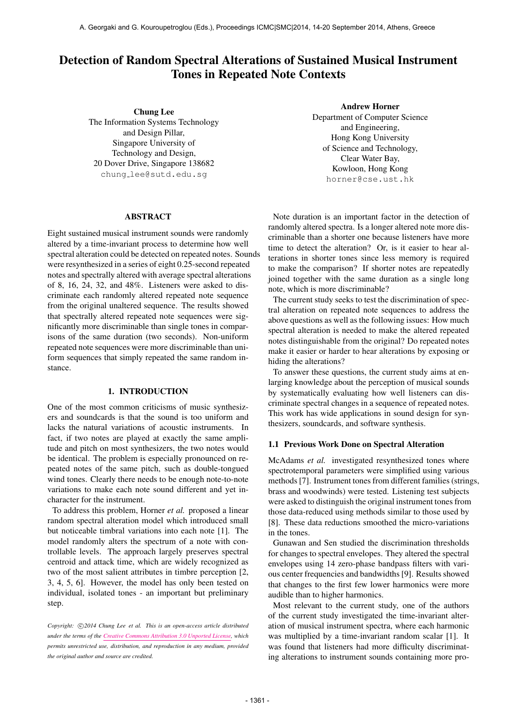# Detection of Random Spectral Alterations of Sustained Musical Instrument Tones in Repeated Note Contexts

Chung Lee The Information Systems Technology and Design Pillar, Singapore University of Technology and Design, 20 Dover Drive, Singapore 138682 chung [lee@sutd.edu.sg](mailto:chung_lee@sutd.edu.sg)

#### ABSTRACT

Eight sustained musical instrument sounds were randomly altered by a time-invariant process to determine how well spectral alteration could be detected on repeated notes. Sounds were resynthesized in a series of eight 0.25-second repeated notes and spectrally altered with average spectral alterations of 8, 16, 24, 32, and 48%. Listeners were asked to discriminate each randomly altered repeated note sequence from the original unaltered sequence. The results showed that spectrally altered repeated note sequences were significantly more discriminable than single tones in comparisons of the same duration (two seconds). Non-uniform repeated note sequences were more discriminable than uniform sequences that simply repeated the same random instance.

#### 1. INTRODUCTION

One of the most common criticisms of music synthesizers and soundcards is that the sound is too uniform and lacks the natural variations of acoustic instruments. In fact, if two notes are played at exactly the same amplitude and pitch on most synthesizers, the two notes would be identical. The problem is especially pronounced on repeated notes of the same pitch, such as double-tongued wind tones. Clearly there needs to be enough note-to-note variations to make each note sound different and yet incharacter for the instrument.

To address this problem, Horner *et al.* proposed a linear random spectral alteration model which introduced small but noticeable timbral variations into each note [1]. The model randomly alters the spectrum of a note with controllable levels. The approach largely preserves spectral centroid and attack time, which are widely recognized as two of the most salient attributes in timbre perception [2, 3, 4, 5, 6]. However, the model has only been tested on individual, isolated tones - an important but preliminary step.

Copyright:  $\bigcirc$ 2014 Chung Lee et al. This is an open-access article distributed *under the terms of the [Creative Commons Attribution 3.0 Unported License,](http://creativecommons.org/licenses/by/3.0/) which permits unrestricted use, distribution, and reproduction in any medium, provided the original author and source are credited.*

Andrew Horner

Department of Computer Science and Engineering, Hong Kong University of Science and Technology, Clear Water Bay, Kowloon, Hong Kong [horner@cse.ust.hk](mailto:horner@cse.ust.hk)

Note duration is an important factor in the detection of randomly altered spectra. Is a longer altered note more discriminable than a shorter one because listeners have more time to detect the alteration? Or, is it easier to hear alterations in shorter tones since less memory is required to make the comparison? If shorter notes are repeatedly joined together with the same duration as a single long note, which is more discriminable?

The current study seeks to test the discrimination of spectral alteration on repeated note sequences to address the above questions as well as the following issues: How much spectral alteration is needed to make the altered repeated notes distinguishable from the original? Do repeated notes make it easier or harder to hear alterations by exposing or hiding the alterations?

To answer these questions, the current study aims at enlarging knowledge about the perception of musical sounds by systematically evaluating how well listeners can discriminate spectral changes in a sequence of repeated notes. This work has wide applications in sound design for synthesizers, soundcards, and software synthesis.

#### 1.1 Previous Work Done on Spectral Alteration

McAdams *et al.* investigated resynthesized tones where spectrotemporal parameters were simplified using various methods [7]. Instrument tones from different families (strings, brass and woodwinds) were tested. Listening test subjects were asked to distinguish the original instrument tones from those data-reduced using methods similar to those used by [8]. These data reductions smoothed the micro-variations in the tones.

Gunawan and Sen studied the discrimination thresholds for changes to spectral envelopes. They altered the spectral envelopes using 14 zero-phase bandpass filters with various center frequencies and bandwidths [9]. Results showed that changes to the first few lower harmonics were more audible than to higher harmonics.

Most relevant to the current study, one of the authors of the current study investigated the time-invariant alteration of musical instrument spectra, where each harmonic was multiplied by a time-invariant random scalar [1]. It was found that listeners had more difficulty discriminating alterations to instrument sounds containing more pro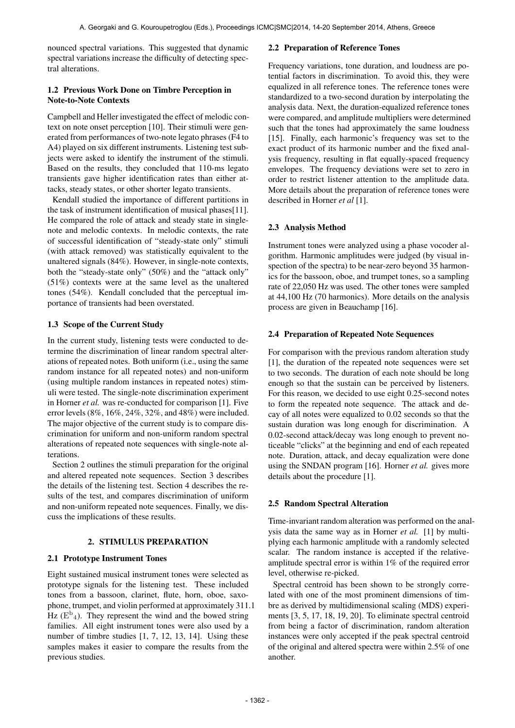nounced spectral variations. This suggested that dynamic spectral variations increase the difficulty of detecting spectral alterations.

# 1.2 Previous Work Done on Timbre Perception in Note-to-Note Contexts

Campbell and Heller investigated the effect of melodic context on note onset perception [10]. Their stimuli were generated from performances of two-note legato phrases (F4 to A4) played on six different instruments. Listening test subjects were asked to identify the instrument of the stimuli. Based on the results, they concluded that 110-ms legato transients gave higher identification rates than either attacks, steady states, or other shorter legato transients.

Kendall studied the importance of different partitions in the task of instrument identification of musical phases[11]. He compared the role of attack and steady state in singlenote and melodic contexts. In melodic contexts, the rate of successful identification of "steady-state only" stimuli (with attack removed) was statistically equivalent to the unaltered signals (84%). However, in single-note contexts, both the "steady-state only" (50%) and the "attack only" (51%) contexts were at the same level as the unaltered tones (54%). Kendall concluded that the perceptual importance of transients had been overstated.

# 1.3 Scope of the Current Study

In the current study, listening tests were conducted to determine the discrimination of linear random spectral alterations of repeated notes. Both uniform (i.e., using the same random instance for all repeated notes) and non-uniform (using multiple random instances in repeated notes) stimuli were tested. The single-note discrimination experiment in Horner *et al.* was re-conducted for comparison [1]. Five error levels (8%, 16%, 24%, 32%, and 48%) were included. The major objective of the current study is to compare discrimination for uniform and non-uniform random spectral alterations of repeated note sequences with single-note alterations.

Section 2 outlines the stimuli preparation for the original and altered repeated note sequences. Section 3 describes the details of the listening test. Section 4 describes the results of the test, and compares discrimination of uniform and non-uniform repeated note sequences. Finally, we discuss the implications of these results.

## 2. STIMULUS PREPARATION

## 2.1 Prototype Instrument Tones

Eight sustained musical instrument tones were selected as prototype signals for the listening test. These included tones from a bassoon, clarinet, flute, horn, oboe, saxophone, trumpet, and violin performed at approximately 311.1 Hz  $(E^{b_4})$ . They represent the wind and the bowed string families. All eight instrument tones were also used by a number of timbre studies [1, 7, 12, 13, 14]. Using these samples makes it easier to compare the results from the previous studies.

## 2.2 Preparation of Reference Tones

Frequency variations, tone duration, and loudness are potential factors in discrimination. To avoid this, they were equalized in all reference tones. The reference tones were standardized to a two-second duration by interpolating the analysis data. Next, the duration-equalized reference tones were compared, and amplitude multipliers were determined such that the tones had approximately the same loudness [15]. Finally, each harmonic's frequency was set to the exact product of its harmonic number and the fixed analysis frequency, resulting in flat equally-spaced frequency envelopes. The frequency deviations were set to zero in order to restrict listener attention to the amplitude data. More details about the preparation of reference tones were described in Horner *et al* [1].

## 2.3 Analysis Method

Instrument tones were analyzed using a phase vocoder algorithm. Harmonic amplitudes were judged (by visual inspection of the spectra) to be near-zero beyond 35 harmonics for the bassoon, oboe, and trumpet tones, so a sampling rate of 22,050 Hz was used. The other tones were sampled at 44,100 Hz (70 harmonics). More details on the analysis process are given in Beauchamp [16].

## 2.4 Preparation of Repeated Note Sequences

For comparison with the previous random alteration study [1], the duration of the repeated note sequences were set to two seconds. The duration of each note should be long enough so that the sustain can be perceived by listeners. For this reason, we decided to use eight 0.25-second notes to form the repeated note sequence. The attack and decay of all notes were equalized to 0.02 seconds so that the sustain duration was long enough for discrimination. A 0.02-second attack/decay was long enough to prevent noticeable "clicks" at the beginning and end of each repeated note. Duration, attack, and decay equalization were done using the SNDAN program [16]. Horner *et al.* gives more details about the procedure [1].

## 2.5 Random Spectral Alteration

Time-invariant random alteration was performed on the analysis data the same way as in Horner *et al.* [1] by multiplying each harmonic amplitude with a randomly selected scalar. The random instance is accepted if the relativeamplitude spectral error is within 1% of the required error level, otherwise re-picked.

Spectral centroid has been shown to be strongly correlated with one of the most prominent dimensions of timbre as derived by multidimensional scaling (MDS) experiments [3, 5, 17, 18, 19, 20]. To eliminate spectral centroid from being a factor of discrimination, random alteration instances were only accepted if the peak spectral centroid of the original and altered spectra were within 2.5% of one another.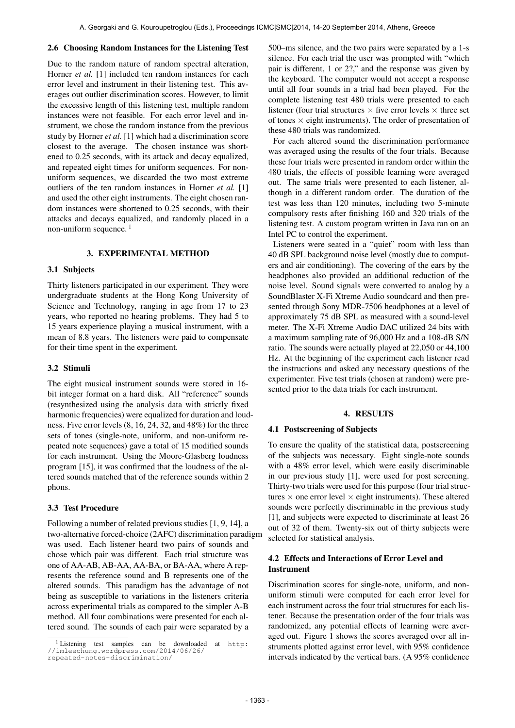## 2.6 Choosing Random Instances for the Listening Test

Due to the random nature of random spectral alteration, Horner *et al.* [1] included ten random instances for each error level and instrument in their listening test. This averages out outlier discrimination scores. However, to limit the excessive length of this listening test, multiple random instances were not feasible. For each error level and instrument, we chose the random instance from the previous study by Horner *et al.* [1] which had a discrimination score closest to the average. The chosen instance was shortened to 0.25 seconds, with its attack and decay equalized, and repeated eight times for uniform sequences. For nonuniform sequences, we discarded the two most extreme outliers of the ten random instances in Horner *et al.* [1] and used the other eight instruments. The eight chosen random instances were shortened to 0.25 seconds, with their attacks and decays equalized, and randomly placed in a non-uniform sequence.<sup>1</sup>

## 3. EXPERIMENTAL METHOD

#### 3.1 Subjects

Thirty listeners participated in our experiment. They were undergraduate students at the Hong Kong University of Science and Technology, ranging in age from 17 to 23 years, who reported no hearing problems. They had 5 to 15 years experience playing a musical instrument, with a mean of 8.8 years. The listeners were paid to compensate for their time spent in the experiment.

#### 3.2 Stimuli

The eight musical instrument sounds were stored in 16 bit integer format on a hard disk. All "reference" sounds (resynthesized using the analysis data with strictly fixed harmonic frequencies) were equalized for duration and loudness. Five error levels (8, 16, 24, 32, and 48%) for the three sets of tones (single-note, uniform, and non-uniform repeated note sequences) gave a total of 15 modified sounds for each instrument. Using the Moore-Glasberg loudness program [15], it was confirmed that the loudness of the altered sounds matched that of the reference sounds within 2 phons.

### 3.3 Test Procedure

Following a number of related previous studies [1, 9, 14], a two-alternative forced-choice (2AFC) discrimination paradigm was used. Each listener heard two pairs of sounds and chose which pair was different. Each trial structure was one of AA-AB, AB-AA, AA-BA, or BA-AA, where A represents the reference sound and B represents one of the altered sounds. This paradigm has the advantage of not being as susceptible to variations in the listeners criteria across experimental trials as compared to the simpler A-B method. All four combinations were presented for each altered sound. The sounds of each pair were separated by a

500–ms silence, and the two pairs were separated by a 1-s silence. For each trial the user was prompted with "which pair is different, 1 or 2?," and the response was given by the keyboard. The computer would not accept a response until all four sounds in a trial had been played. For the complete listening test 480 trials were presented to each listener (four trial structures  $\times$  five error levels  $\times$  three set of tones  $\times$  eight instruments). The order of presentation of these 480 trials was randomized.

For each altered sound the discrimination performance was averaged using the results of the four trials. Because these four trials were presented in random order within the 480 trials, the effects of possible learning were averaged out. The same trials were presented to each listener, although in a different random order. The duration of the test was less than 120 minutes, including two 5-minute compulsory rests after finishing 160 and 320 trials of the listening test. A custom program written in Java ran on an Intel PC to control the experiment.

Listeners were seated in a "quiet" room with less than 40 dB SPL background noise level (mostly due to computers and air conditioning). The covering of the ears by the headphones also provided an additional reduction of the noise level. Sound signals were converted to analog by a SoundBlaster X-Fi Xtreme Audio soundcard and then presented through Sony MDR-7506 headphones at a level of approximately 75 dB SPL as measured with a sound-level meter. The X-Fi Xtreme Audio DAC utilized 24 bits with a maximum sampling rate of 96,000 Hz and a 108-dB S/N ratio. The sounds were actually played at 22,050 or 44,100 Hz. At the beginning of the experiment each listener read the instructions and asked any necessary questions of the experimenter. Five test trials (chosen at random) were presented prior to the data trials for each instrument.

#### 4. RESULTS

#### 4.1 Postscreening of Subjects

To ensure the quality of the statistical data, postscreening of the subjects was necessary. Eight single-note sounds with a 48% error level, which were easily discriminable in our previous study [1], were used for post screening. Thirty-two trials were used for this purpose (four trial structures  $\times$  one error level  $\times$  eight instruments). These altered sounds were perfectly discriminable in the previous study [1], and subjects were expected to discriminate at least 26 out of 32 of them. Twenty-six out of thirty subjects were selected for statistical analysis.

### 4.2 Effects and Interactions of Error Level and Instrument

Discrimination scores for single-note, uniform, and nonuniform stimuli were computed for each error level for each instrument across the four trial structures for each listener. Because the presentation order of the four trials was randomized, any potential effects of learning were averaged out. Figure 1 shows the scores averaged over all instruments plotted against error level, with 95% confidence intervals indicated by the vertical bars. (A 95% confidence

<sup>1</sup> Listening test samples can be downloaded at [http:](http://imleechung.wordpress.com/2014/06/26/repeated-notes-discrimination/) [//imleechung.wordpress.com/2014/06/26/](http://imleechung.wordpress.com/2014/06/26/repeated-notes-discrimination/) [repeated-notes-discrimination/](http://imleechung.wordpress.com/2014/06/26/repeated-notes-discrimination/)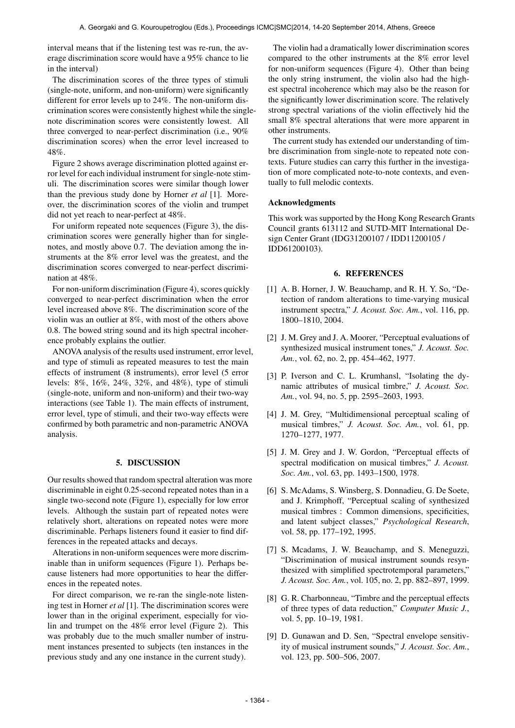interval means that if the listening test was re-run, the average discrimination score would have a 95% chance to lie in the interval)

The discrimination scores of the three types of stimuli (single-note, uniform, and non-uniform) were significantly different for error levels up to 24%. The non-uniform discrimination scores were consistently highest while the singlenote discrimination scores were consistently lowest. All three converged to near-perfect discrimination (i.e., 90% discrimination scores) when the error level increased to 48%.

Figure 2 shows average discrimination plotted against error level for each individual instrument for single-note stimuli. The discrimination scores were similar though lower than the previous study done by Horner *et al* [1]. Moreover, the discrimination scores of the violin and trumpet did not yet reach to near-perfect at 48%.

For uniform repeated note sequences (Figure 3), the discrimination scores were generally higher than for singlenotes, and mostly above 0.7. The deviation among the instruments at the 8% error level was the greatest, and the discrimination scores converged to near-perfect discrimination at 48%.

For non-uniform discrimination (Figure 4), scores quickly converged to near-perfect discrimination when the error level increased above 8%. The discrimination score of the violin was an outlier at 8%, with most of the others above 0.8. The bowed string sound and its high spectral incoherence probably explains the outlier.

ANOVA analysis of the results used instrument, error level, and type of stimuli as repeated measures to test the main effects of instrument (8 instruments), error level (5 error levels: 8%, 16%, 24%, 32%, and 48%), type of stimuli (single-note, uniform and non-uniform) and their two-way interactions (see Table 1). The main effects of instrument, error level, type of stimuli, and their two-way effects were confirmed by both parametric and non-parametric ANOVA analysis.

#### 5. DISCUSSION

Our results showed that random spectral alteration was more discriminable in eight 0.25-second repeated notes than in a single two-second note (Figure 1), especially for low error levels. Although the sustain part of repeated notes were relatively short, alterations on repeated notes were more discriminable. Perhaps listeners found it easier to find differences in the repeated attacks and decays.

Alterations in non-uniform sequences were more discriminable than in uniform sequences (Figure 1). Perhaps because listeners had more opportunities to hear the differences in the repeated notes.

For direct comparison, we re-ran the single-note listening test in Horner *et al* [1]. The discrimination scores were lower than in the original experiment, especially for violin and trumpet on the 48% error level (Figure 2). This was probably due to the much smaller number of instrument instances presented to subjects (ten instances in the previous study and any one instance in the current study).

The violin had a dramatically lower discrimination scores compared to the other instruments at the 8% error level for non-uniform sequences (Figure 4). Other than being the only string instrument, the violin also had the highest spectral incoherence which may also be the reason for the significantly lower discrimination score. The relatively strong spectral variations of the violin effectively hid the small 8% spectral alterations that were more apparent in other instruments.

The current study has extended our understanding of timbre discrimination from single-note to repeated note contexts. Future studies can carry this further in the investigation of more complicated note-to-note contexts, and eventually to full melodic contexts.

#### Acknowledgments

This work was supported by the Hong Kong Research Grants Council grants 613112 and SUTD-MIT International Design Center Grant (IDG31200107 / IDD11200105 / IDD61200103).

#### 6. REFERENCES

- [1] A. B. Horner, J. W. Beauchamp, and R. H. Y. So, "Detection of random alterations to time-varying musical instrument spectra," *J. Acoust. Soc. Am.*, vol. 116, pp. 1800–1810, 2004.
- [2] J. M. Grey and J. A. Moorer, "Perceptual evaluations of synthesized musical instrument tones," *J. Acoust. Soc. Am.*, vol. 62, no. 2, pp. 454–462, 1977.
- [3] P. Iverson and C. L. Krumhansl, "Isolating the dynamic attributes of musical timbre," *J. Acoust. Soc. Am.*, vol. 94, no. 5, pp. 2595–2603, 1993.
- [4] J. M. Grey, "Multidimensional perceptual scaling of musical timbres," *J. Acoust. Soc. Am.*, vol. 61, pp. 1270–1277, 1977.
- [5] J. M. Grey and J. W. Gordon, "Perceptual effects of spectral modification on musical timbres," *J. Acoust. Soc. Am.*, vol. 63, pp. 1493–1500, 1978.
- [6] S. McAdams, S. Winsberg, S. Donnadieu, G. De Soete, and J. Krimphoff, "Perceptual scaling of synthesized musical timbres : Common dimensions, specificities, and latent subject classes," *Psychological Research*, vol. 58, pp. 177–192, 1995.
- [7] S. Mcadams, J. W. Beauchamp, and S. Meneguzzi, "Discrimination of musical instrument sounds resynthesized with simplified spectrotemporal parameters," *J. Acoust. Soc. Am.*, vol. 105, no. 2, pp. 882–897, 1999.
- [8] G. R. Charbonneau, "Timbre and the perceptual effects of three types of data reduction," *Computer Music J.*, vol. 5, pp. 10–19, 1981.
- [9] D. Gunawan and D. Sen, "Spectral envelope sensitivity of musical instrument sounds," *J. Acoust. Soc. Am.*, vol. 123, pp. 500–506, 2007.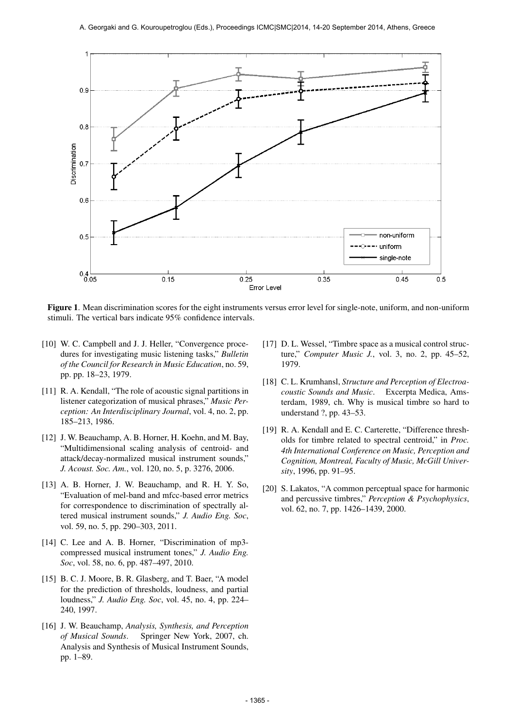

Figure 1. Mean discrimination scores for the eight instruments versus error level for single-note, uniform, and non-uniform stimuli. The vertical bars indicate 95% confidence intervals.

- [10] W. C. Campbell and J. J. Heller, "Convergence procedures for investigating music listening tasks," *Bulletin of the Council for Research in Music Education*, no. 59, pp. pp. 18–23, 1979.
- [11] R. A. Kendall, "The role of acoustic signal partitions in listener categorization of musical phrases," *Music Perception: An Interdisciplinary Journal*, vol. 4, no. 2, pp. 185–213, 1986.
- [12] J. W. Beauchamp, A. B. Horner, H. Koehn, and M. Bay, "Multidimensional scaling analysis of centroid- and attack/decay-normalized musical instrument sounds," *J. Acoust. Soc. Am.*, vol. 120, no. 5, p. 3276, 2006.
- [13] A. B. Horner, J. W. Beauchamp, and R. H. Y. So, "Evaluation of mel-band and mfcc-based error metrics for correspondence to discrimination of spectrally altered musical instrument sounds," *J. Audio Eng. Soc*, vol. 59, no. 5, pp. 290–303, 2011.
- [14] C. Lee and A. B. Horner, "Discrimination of mp3 compressed musical instrument tones," *J. Audio Eng. Soc*, vol. 58, no. 6, pp. 487–497, 2010.
- [15] B. C. J. Moore, B. R. Glasberg, and T. Baer, "A model for the prediction of thresholds, loudness, and partial loudness," *J. Audio Eng. Soc*, vol. 45, no. 4, pp. 224– 240, 1997.
- [16] J. W. Beauchamp, *Analysis, Synthesis, and Perception of Musical Sounds*. Springer New York, 2007, ch. Analysis and Synthesis of Musical Instrument Sounds, pp. 1–89.
- [17] D. L. Wessel, "Timbre space as a musical control structure," *Computer Music J.*, vol. 3, no. 2, pp. 45–52, 1979.
- [18] C. L. Krumhansl, *Structure and Perception of Electroacoustic Sounds and Music*. Excerpta Medica, Amsterdam, 1989, ch. Why is musical timbre so hard to understand ?, pp. 43–53.
- [19] R. A. Kendall and E. C. Carterette, "Difference thresholds for timbre related to spectral centroid," in *Proc. 4th International Conference on Music, Perception and Cognition, Montreal, Faculty of Music, McGill University*, 1996, pp. 91–95.
- [20] S. Lakatos, "A common perceptual space for harmonic and percussive timbres," *Perception & Psychophysics*, vol. 62, no. 7, pp. 1426–1439, 2000.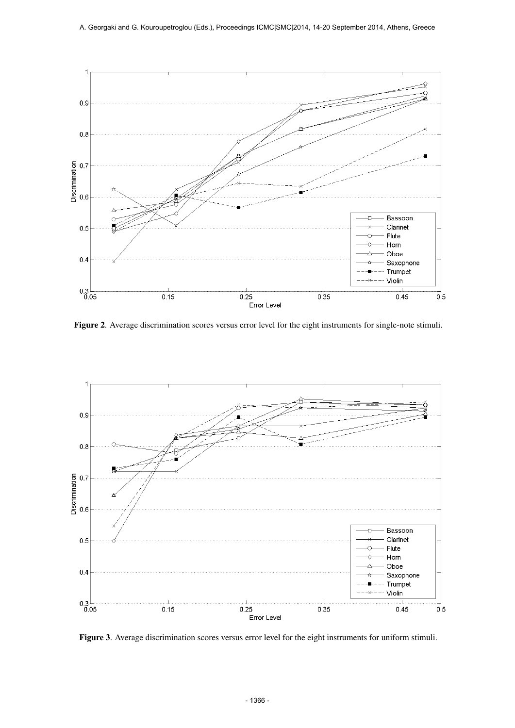

Figure 2. Average discrimination scores versus error level for the eight instruments for single-note stimuli.



Figure 3. Average discrimination scores versus error level for the eight instruments for uniform stimuli.